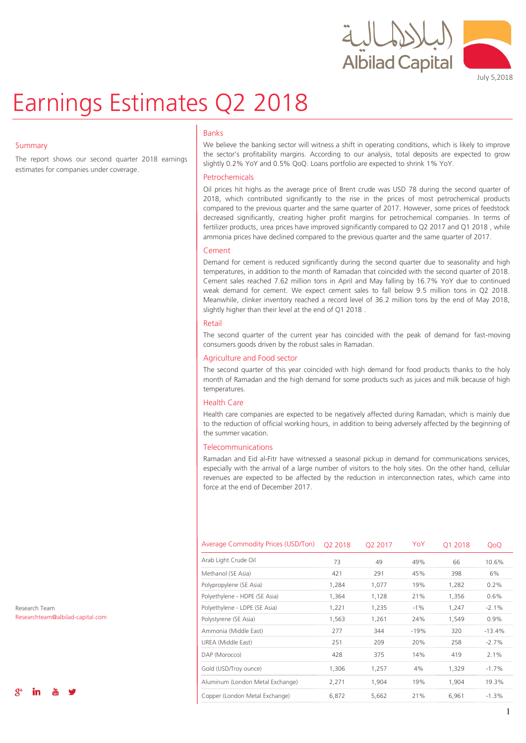



July 5,2018

# Earnings Estimates Q2 2018

### Summary

The report shows our second quarter 2018 earnings estimates for companies under coverage.

### Banks

We believe the banking sector will witness a shift in operating conditions, which is likely to improve the sector's profitability margins. According to our analysis, total deposits are expected to grow slightly 0.2% YoY and 0.5% QoQ. Loans portfolio are expected to shrink 1% YoY.

### Petrochemicals

Oil prices hit highs as the average price of Brent crude was USD 78 during the second quarter of 2018, which contributed significantly to the rise in the prices of most petrochemical products compared to the previous quarter and the same quarter of 2017. However, some prices of feedstock decreased significantly, creating higher profit margins for petrochemical companies. In terms of fertilizer products, urea prices have improved significantly compared to Q2 2017 and Q1 2018 , while ammonia prices have declined compared to the previous quarter and the same quarter of 2017.

### Cement

Demand for cement is reduced significantly during the second quarter due to seasonality and high temperatures, in addition to the month of Ramadan that coincided with the second quarter of 2018. Cement sales reached 7.62 million tons in April and May falling by 16.7% YoY due to continued weak demand for cement. We expect cement sales to fall below 9.5 million tons in Q2 2018. Meanwhile, clinker inventory reached a record level of 36.2 million tons by the end of May 2018, slightly higher than their level at the end of Q1 2018 .

### Retail

The second quarter of the current year has coincided with the peak of demand for fast-moving consumers goods driven by the robust sales in Ramadan.

### Agriculture and Food sector

The second quarter of this year coincided with high demand for food products thanks to the holy month of Ramadan and the high demand for some products such as juices and milk because of high temperatures.

### Health Care

Health care companies are expected to be negatively affected during Ramadan, which is mainly due to the reduction of official working hours, in addition to being adversely affected by the beginning of the summer vacation.

### **Telecommunications**

Ramadan and Eid al-Fitr have witnessed a seasonal pickup in demand for communications services, especially with the arrival of a large number of visitors to the holy sites. On the other hand, cellular revenues are expected to be affected by the reduction in interconnection rates, which came into force at the end of December 2017.

| Average Commodity Prices (USD/Ton) | 02 2018 | O <sub>2</sub> 2017 | YoY    | 01 2018 | QoQ      |
|------------------------------------|---------|---------------------|--------|---------|----------|
| Arab Light Crude Oil               | 73      | 49                  | 49%    | 66      | 10.6%    |
| Methanol (SE Asia)                 | 421     | 291                 | 45%    | 398     | 6%       |
| Polypropylene (SE Asia)            | 1,284   | 1,077               | 19%    | 1,282   | 0.2%     |
| Polyethylene - HDPE (SE Asia)      | 1,364   | 1,128               | 21%    | 1,356   | 0.6%     |
| Polyethylene - LDPE (SE Asia)      | 1,221   | 1,235               | $-1\%$ | 1,247   | $-2.1%$  |
| Polystyrene (SE Asia)              | 1,563   | 1,261               | 24%    | 1,549   | 0.9%     |
| Ammonia (Middle East)              | 277     | 344                 | $-19%$ | 320     | $-13.4%$ |
| UREA (Middle East)                 | 251     | 209                 | 20%    | 258     | $-2.7%$  |
| DAP (Morocco)                      | 428     | 375                 | 14%    | 419     | 2.1%     |
| Gold (USD/Troy ounce)              | 1,306   | 1,257               | 4%     | 1,329   | $-1.7%$  |
| Aluminum (London Metal Exchange)   | 2,271   | 1,904               | 19%    | 1,904   | 19.3%    |
| Copper (London Metal Exchange)     | 6,872   | 5,662               | 21%    | 6,961   | $-1.3%$  |

Research Team Researchteam@albilad-capital.com

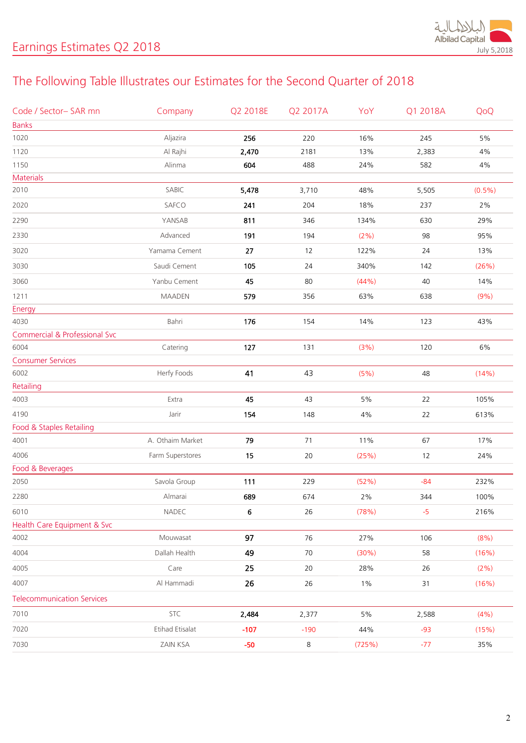

# The Following Table Illustrates our Estimates for the Second Quarter of 2018

| Code / Sector-SAR mn                     | Company          | Q2 2018E | Q2 2017A | YoY    | Q1 2018A | QoQ       |
|------------------------------------------|------------------|----------|----------|--------|----------|-----------|
| <b>Banks</b>                             |                  |          |          |        |          |           |
| 1020                                     | Aljazira         | 256      | 220      | 16%    | 245      | $5\%$     |
| 1120                                     | Al Rajhi         | 2,470    | 2181     | 13%    | 2,383    | $4\%$     |
| 1150                                     | Alinma           | 604      | 488      | 24%    | 582      | $4\%$     |
| Materials                                |                  |          |          |        |          |           |
| 2010                                     | SABIC            | 5,478    | 3,710    | 48%    | 5,505    | $(0.5\%)$ |
| 2020                                     | SAFCO            | 241      | 204      | 18%    | 237      | 2%        |
| 2290                                     | YANSAB           | 811      | 346      | 134%   | 630      | 29%       |
| 2330                                     | Advanced         | 191      | 194      | (2% )  | 98       | 95%       |
| 3020                                     | Yamama Cement    | 27       | 12       | 122%   | 24       | 13%       |
| 3030                                     | Saudi Cement     | 105      | 24       | 340%   | 142      | (26%)     |
| 3060                                     | Yanbu Cement     | 45       | 80       | (44% ) | 40       | 14%       |
| 1211                                     | <b>MAADEN</b>    | 579      | 356      | 63%    | 638      | (9% )     |
| Energy                                   |                  |          |          |        |          |           |
| 4030                                     | Bahri            | 176      | 154      | 14%    | 123      | 43%       |
| <b>Commercial &amp; Professional Svc</b> |                  |          |          |        |          |           |
| 6004                                     | Catering         | 127      | 131      | (3%)   | 120      | $6\%$     |
| <b>Consumer Services</b>                 |                  |          |          |        |          |           |
| 6002                                     | Herfy Foods      | 41       | 43       | (5% )  | 48       | (14%)     |
| Retailing                                |                  |          |          |        |          |           |
| 4003                                     | Extra            | 45       | 43       | $5\%$  | 22       | 105%      |
| 4190                                     | Jarir            | 154      | 148      | 4%     | 22       | 613%      |
| Food & Staples Retailing                 |                  |          |          |        |          |           |
| 4001                                     | A. Othaim Market | 79       | $71$     | 11%    | 67       | 17%       |
| 4006                                     | Farm Superstores | 15       | $20\,$   | (25%)  | 12       | 24%       |
| Food & Beverages                         |                  |          |          |        |          |           |
| 2050                                     | Savola Group     | 111      | 229      | (52%)  | $-84$    | 232%      |
| 2280                                     | Almarai          | 689      | 674      | 2%     | 344      | 100%      |
| 6010                                     | NADEC            | 6        | 26       | (78%)  | $-5$     | 216%      |
| Health Care Equipment & Svc              |                  |          |          |        |          |           |
| 4002                                     | Mouwasat         | 97       | 76       | 27%    | 106      | (8%)      |
| 4004                                     | Dallah Health    | 49       | 70       | (30%)  | 58       | (16%)     |
| 4005                                     | Care             | 25       | 20       | 28%    | 26       | (2%)      |
| 4007                                     | Al Hammadi       | 26       | 26       | $1\%$  | 31       | (16%)     |
| <b>Telecommunication Services</b>        |                  |          |          |        |          |           |
| 7010                                     | <b>STC</b>       | 2,484    | 2,377    | 5%     | 2,588    | (4% )     |
| 7020                                     | Etihad Etisalat  | $-107$   | $-190$   | 44%    | $-93$    | (15%)     |
| 7030                                     | ZAIN KSA         | $-50$    | 8        | (725%) | $-77$    | 35%       |